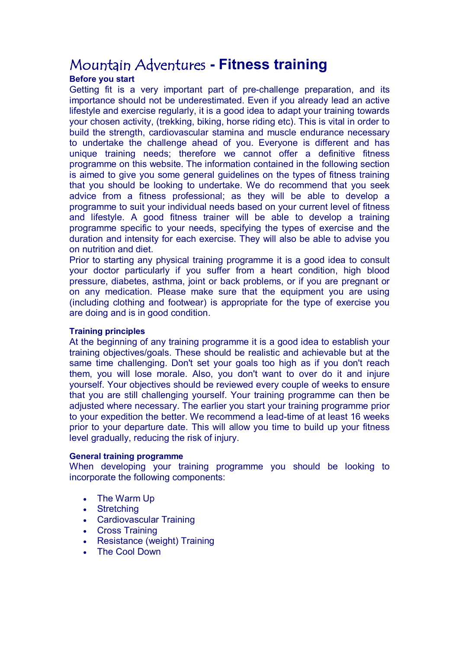# Mountain Adventures  **Fitness training**

# **Before you start**

Getting fit is a very important part of pre-challenge preparation, and its importance should not be underestimated. Even if you already lead an active lifestyle and exercise regularly, it is a good idea to adapt your training towards your chosen activity, (trekking, biking, horse riding etc). This is vital in order to build the strength, cardiovascular stamina and muscle endurance necessary to undertake the challenge ahead of you. Everyone is different and has unique training needs; therefore we cannot offer a definitive fitness programme on this website. The information contained in the following section is aimed to give you some general guidelines on the types of fitness training that you should be looking to undertake. We do recommend that you seek advice from a fitness professional; as they will be able to develop a programme to suit your individual needs based on your current level of fitness and lifestyle. A good fitness trainer will be able to develop a training programme specific to your needs, specifying the types of exercise and the duration and intensity for each exercise. They will also be able to advise you on nutrition and diet.

Prior to starting any physical training programme it is a good idea to consult your doctor particularly if you suffer from a heart condition, high blood pressure, diabetes, asthma, joint or back problems, or if you are pregnant or on any medication. Please make sure that the equipment you are using (including clothing and footwear) is appropriate for the type of exercise you are doing and is in good condition.

# **Training principles**

At the beginning of any training programme it is a good idea to establish your training objectives/goals. These should be realistic and achievable but at the same time challenging. Don't set your goals too high as if you don't reach them, you will lose morale. Also, you don't want to over do it and injure yourself. Your objectives should be reviewed every couple of weeks to ensure that you are still challenging yourself. Your training programme can then be adjusted where necessary. The earlier you start your training programme prior to your expedition the better. We recommend a lead-time of at least 16 weeks prior to your departure date. This will allow you time to build up your fitness level gradually, reducing the risk of injury.

# **General training programme**

When developing your training programme you should be looking to incorporate the following components:

- · The Warm Up
- Stretching
- · Cardiovascular Training
- · Cross Training
- · Resistance (weight) Training
- The Cool Down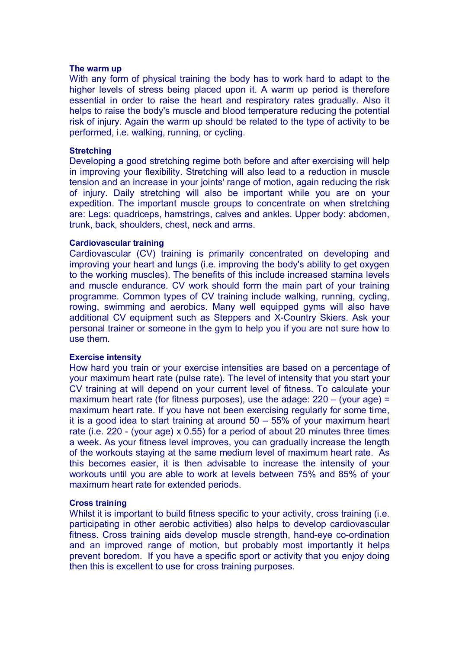#### **The warm up**

With any form of physical training the body has to work hard to adapt to the higher levels of stress being placed upon it. A warm up period is therefore essential in order to raise the heart and respiratory rates gradually. Also it helps to raise the body's muscle and blood temperature reducing the potential risk of injury. Again the warm up should be related to the type of activity to be performed, i.e. walking, running, or cycling.

# **Stretching**

Developing a good stretching regime both before and after exercising will help in improving your flexibility. Stretching will also lead to a reduction in muscle tension and an increase in your joints' range of motion, again reducing the risk of injury. Daily stretching will also be important while you are on your expedition. The important muscle groups to concentrate on when stretching are: Legs: quadriceps, hamstrings, calves and ankles. Upper body: abdomen, trunk, back, shoulders, chest, neck and arms.

#### **Cardiovascular training**

Cardiovascular (CV) training is primarily concentrated on developing and improving your heart and lungs (i.e. improving the body's ability to get oxygen to the working muscles). The benefits of this include increased stamina levels and muscle endurance. CV work should form the main part of your training programme. Common types of CV training include walking, running, cycling, rowing, swimming and aerobics. Many well equipped gyms will also have additional CV equipment such as Steppers and X-Country Skiers. Ask your personal trainer or someone in the gym to help you if you are not sure how to use them.

# **Exercise intensity**

How hard you train or your exercise intensities are based on a percentage of your maximum heart rate (pulse rate). The level of intensity that you start your CV training at will depend on your current level of fitness. To calculate your maximum heart rate (for fitness purposes), use the adage: 220 – (your age) = maximum heart rate. If you have not been exercising regularly for some time, it is a good idea to start training at around 50 – 55% of your maximum heart rate (i.e. 220 - (your age) x 0.55) for a period of about 20 minutes three times a week. As your fitness level improves, you can gradually increase the length of the workouts staying at the same medium level of maximum heart rate. As this becomes easier, it is then advisable to increase the intensity of your workouts until you are able to work at levels between 75% and 85% of your maximum heart rate for extended periods.

# **Cross training**

Whilst it is important to build fitness specific to your activity, cross training (i.e. participating in other aerobic activities) also helps to develop cardiovascular fitness. Cross training aids develop muscle strength, hand-eye co-ordination and an improved range of motion, but probably most importantly it helps prevent boredom. If you have a specific sport or activity that you enjoy doing then this is excellent to use for cross training purposes.